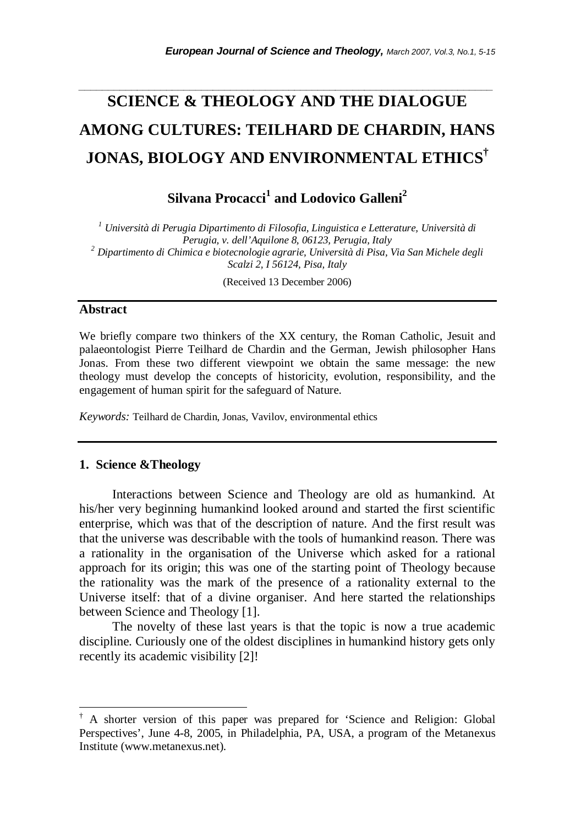# **SCIENCE & THEOLOGY AND THE DIALOGUE AMONG CULTURES: TEILHARD DE CHARDIN, HANS JONAS, BIOLOGY AND ENVIRONMENTAL ETHICS†**

*\_\_\_\_\_\_\_\_\_\_\_\_\_\_\_\_\_\_\_\_\_\_\_\_\_\_\_\_\_\_\_\_\_\_\_\_\_\_\_\_\_\_\_\_\_\_\_\_\_\_\_\_\_\_\_\_\_\_\_\_\_\_\_\_\_\_\_\_\_\_\_* 

Silvana Procacci<sup>1</sup> and Lodovico Galleni<sup>2</sup>

*1 Università di Perugia Dipartimento di Filosofia, Linguistica e Letterature, Università di Perugia, v. dell'Aquilone 8, 06123, Perugia, Italy <sup>2</sup> Dipartimento di Chimica e biotecnologie agrarie, Università di Pisa, Via San Michele degli Scalzi 2, I 56124, Pisa, Italy* 

(Received 13 December 2006)

#### **Abstract**

l

We briefly compare two thinkers of the XX century, the Roman Catholic, Jesuit and palaeontologist Pierre Teilhard de Chardin and the German, Jewish philosopher Hans Jonas. From these two different viewpoint we obtain the same message: the new theology must develop the concepts of historicity, evolution, responsibility, and the engagement of human spirit for the safeguard of Nature.

*Keywords:* Teilhard de Chardin, Jonas, Vavilov, environmental ethics

#### **1. Science &Theology**

Interactions between Science and Theology are old as humankind. At his/her very beginning humankind looked around and started the first scientific enterprise, which was that of the description of nature. And the first result was that the universe was describable with the tools of humankind reason. There was a rationality in the organisation of the Universe which asked for a rational approach for its origin; this was one of the starting point of Theology because the rationality was the mark of the presence of a rationality external to the Universe itself: that of a divine organiser. And here started the relationships between Science and Theology [1].

The novelty of these last years is that the topic is now a true academic discipline. Curiously one of the oldest disciplines in humankind history gets only recently its academic visibility [2]!

<sup>†</sup> A shorter version of this paper was prepared for 'Science and Religion: Global Perspectives', June 4-8, 2005, in Philadelphia, PA, USA, a program of the Metanexus Institute (www.metanexus.net).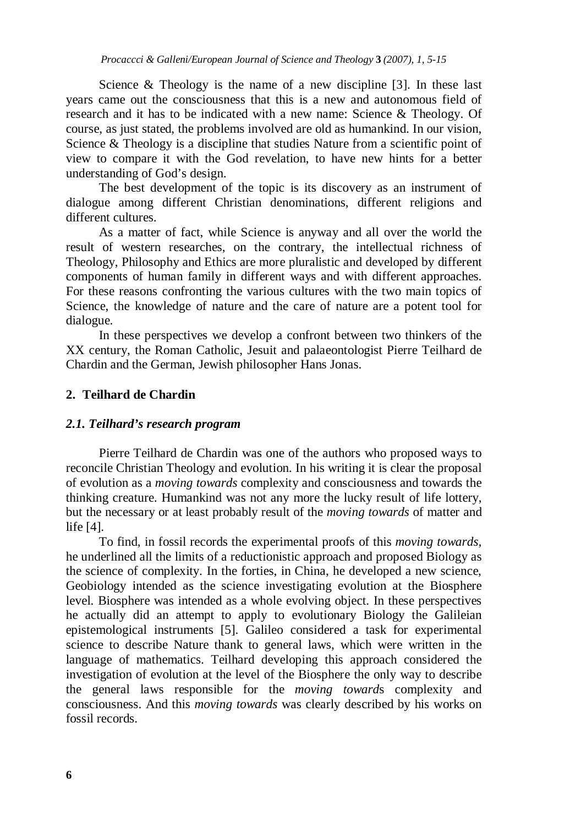Science & Theology is the name of a new discipline [3]. In these last years came out the consciousness that this is a new and autonomous field of research and it has to be indicated with a new name: Science & Theology. Of course, as just stated, the problems involved are old as humankind. In our vision, Science & Theology is a discipline that studies Nature from a scientific point of view to compare it with the God revelation, to have new hints for a better understanding of God's design.

The best development of the topic is its discovery as an instrument of dialogue among different Christian denominations, different religions and different cultures.

As a matter of fact, while Science is anyway and all over the world the result of western researches, on the contrary, the intellectual richness of Theology, Philosophy and Ethics are more pluralistic and developed by different components of human family in different ways and with different approaches. For these reasons confronting the various cultures with the two main topics of Science, the knowledge of nature and the care of nature are a potent tool for dialogue.

In these perspectives we develop a confront between two thinkers of the XX century, the Roman Catholic, Jesuit and palaeontologist Pierre Teilhard de Chardin and the German, Jewish philosopher Hans Jonas.

## **2. Teilhard de Chardin**

#### *2.1. Teilhard's research program*

Pierre Teilhard de Chardin was one of the authors who proposed ways to reconcile Christian Theology and evolution. In his writing it is clear the proposal of evolution as a *moving towards* complexity and consciousness and towards the thinking creature. Humankind was not any more the lucky result of life lottery, but the necessary or at least probably result of the *moving towards* of matter and life [4].

To find, in fossil records the experimental proofs of this *moving towards,* he underlined all the limits of a reductionistic approach and proposed Biology as the science of complexity. In the forties, in China, he developed a new science, Geobiology intended as the science investigating evolution at the Biosphere level. Biosphere was intended as a whole evolving object. In these perspectives he actually did an attempt to apply to evolutionary Biology the Galileian epistemological instruments [5]. Galileo considered a task for experimental science to describe Nature thank to general laws, which were written in the language of mathematics. Teilhard developing this approach considered the investigation of evolution at the level of the Biosphere the only way to describe the general laws responsible for the *moving toward*s complexity and consciousness. And this *moving towards* was clearly described by his works on fossil records.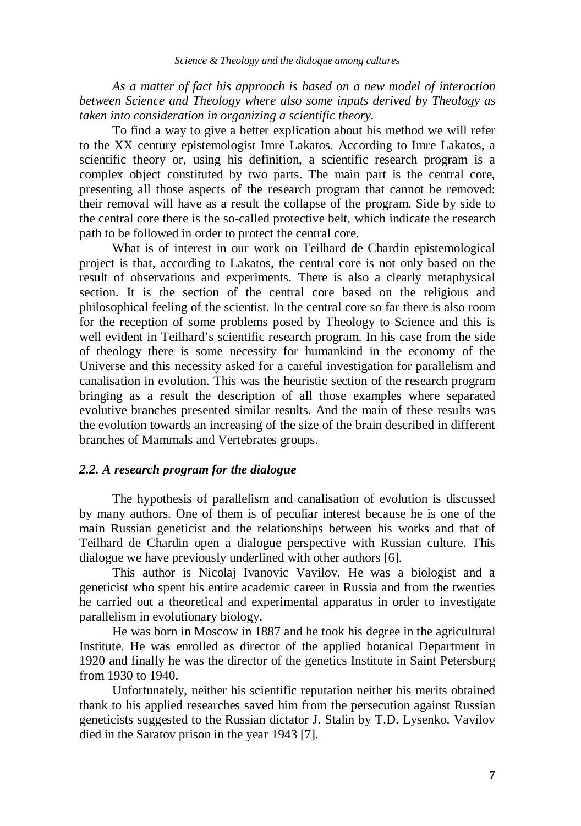*As a matter of fact his approach is based on a new model of interaction between Science and Theology where also some inputs derived by Theology as taken into consideration in organizing a scientific theory*.

To find a way to give a better explication about his method we will refer to the XX century epistemologist Imre Lakatos. According to Imre Lakatos, a scientific theory or, using his definition, a scientific research program is a complex object constituted by two parts. The main part is the central core, presenting all those aspects of the research program that cannot be removed: their removal will have as a result the collapse of the program. Side by side to the central core there is the so-called protective belt, which indicate the research path to be followed in order to protect the central core.

What is of interest in our work on Teilhard de Chardin epistemological project is that, according to Lakatos, the central core is not only based on the result of observations and experiments. There is also a clearly metaphysical section. It is the section of the central core based on the religious and philosophical feeling of the scientist. In the central core so far there is also room for the reception of some problems posed by Theology to Science and this is well evident in Teilhard's scientific research program. In his case from the side of theology there is some necessity for humankind in the economy of the Universe and this necessity asked for a careful investigation for parallelism and canalisation in evolution. This was the heuristic section of the research program bringing as a result the description of all those examples where separated evolutive branches presented similar results. And the main of these results was the evolution towards an increasing of the size of the brain described in different branches of Mammals and Vertebrates groups.

#### *2.2. A research program for the dialogue*

The hypothesis of parallelism and canalisation of evolution is discussed by many authors. One of them is of peculiar interest because he is one of the main Russian geneticist and the relationships between his works and that of Teilhard de Chardin open a dialogue perspective with Russian culture. This dialogue we have previously underlined with other authors [6].

This author is Nicolaj Ivanovic Vavilov. He was a biologist and a geneticist who spent his entire academic career in Russia and from the twenties he carried out a theoretical and experimental apparatus in order to investigate parallelism in evolutionary biology.

He was born in Moscow in 1887 and he took his degree in the agricultural Institute. He was enrolled as director of the applied botanical Department in 1920 and finally he was the director of the genetics Institute in Saint Petersburg from 1930 to 1940.

Unfortunately, neither his scientific reputation neither his merits obtained thank to his applied researches saved him from the persecution against Russian geneticists suggested to the Russian dictator J. Stalin by T.D. Lysenko. Vavilov died in the Saratov prison in the year 1943 [7].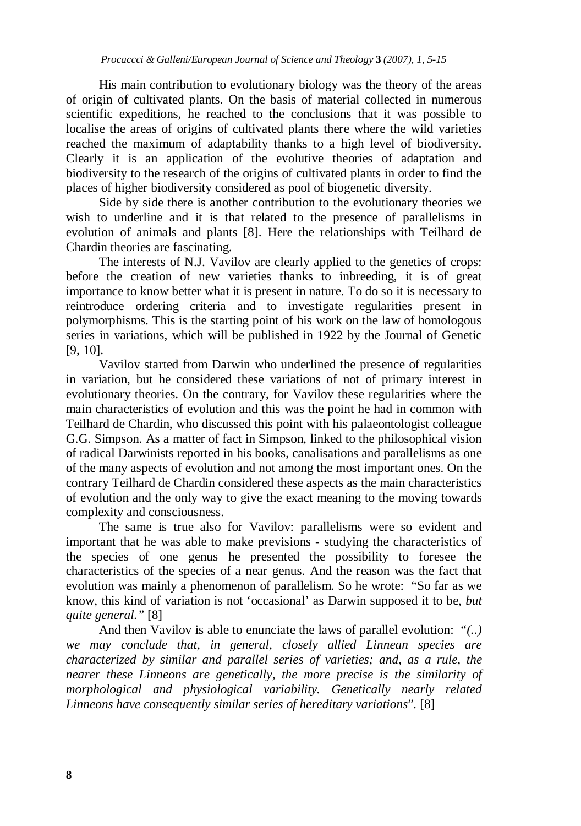His main contribution to evolutionary biology was the theory of the areas of origin of cultivated plants. On the basis of material collected in numerous scientific expeditions, he reached to the conclusions that it was possible to localise the areas of origins of cultivated plants there where the wild varieties reached the maximum of adaptability thanks to a high level of biodiversity. Clearly it is an application of the evolutive theories of adaptation and biodiversity to the research of the origins of cultivated plants in order to find the places of higher biodiversity considered as pool of biogenetic diversity.

Side by side there is another contribution to the evolutionary theories we wish to underline and it is that related to the presence of parallelisms in evolution of animals and plants [8]. Here the relationships with Teilhard de Chardin theories are fascinating.

The interests of N.J. Vavilov are clearly applied to the genetics of crops: before the creation of new varieties thanks to inbreeding, it is of great importance to know better what it is present in nature. To do so it is necessary to reintroduce ordering criteria and to investigate regularities present in polymorphisms. This is the starting point of his work on the law of homologous series in variations, which will be published in 1922 by the Journal of Genetic [9, 10].

Vavilov started from Darwin who underlined the presence of regularities in variation, but he considered these variations of not of primary interest in evolutionary theories. On the contrary, for Vavilov these regularities where the main characteristics of evolution and this was the point he had in common with Teilhard de Chardin, who discussed this point with his palaeontologist colleague G.G. Simpson. As a matter of fact in Simpson, linked to the philosophical vision of radical Darwinists reported in his books, canalisations and parallelisms as one of the many aspects of evolution and not among the most important ones. On the contrary Teilhard de Chardin considered these aspects as the main characteristics of evolution and the only way to give the exact meaning to the moving towards complexity and consciousness.

The same is true also for Vavilov: parallelisms were so evident and important that he was able to make previsions - studying the characteristics of the species of one genus he presented the possibility to foresee the characteristics of the species of a near genus. And the reason was the fact that evolution was mainly a phenomenon of parallelism. So he wrote: "So far as we know, this kind of variation is not 'occasional' as Darwin supposed it to be, *but quite general."* [8]

And then Vavilov is able to enunciate the laws of parallel evolution: "*(..) we may conclude that, in general, closely allied Linnean species are characterized by similar and parallel series of varieties; and, as a rule, the nearer these Linneons are genetically, the more precise is the similarity of morphological and physiological variability. Genetically nearly related Linneons have consequently similar series of hereditary variations*". [8]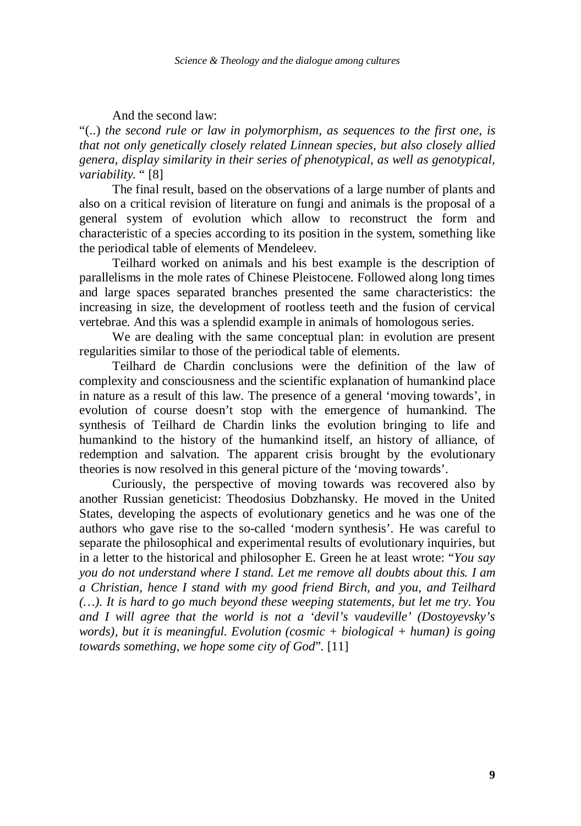And the second law:

"(..) *the second rule or law in polymorphism, as sequences to the first one, is that not only genetically closely related Linnean species, but also closely allied genera, display similarity in their series of phenotypical, as well as genotypical, variability.* " [8]

The final result, based on the observations of a large number of plants and also on a critical revision of literature on fungi and animals is the proposal of a general system of evolution which allow to reconstruct the form and characteristic of a species according to its position in the system, something like the periodical table of elements of Mendeleev.

Teilhard worked on animals and his best example is the description of parallelisms in the mole rates of Chinese Pleistocene. Followed along long times and large spaces separated branches presented the same characteristics: the increasing in size, the development of rootless teeth and the fusion of cervical vertebrae. And this was a splendid example in animals of homologous series.

We are dealing with the same conceptual plan: in evolution are present regularities similar to those of the periodical table of elements.

Teilhard de Chardin conclusions were the definition of the law of complexity and consciousness and the scientific explanation of humankind place in nature as a result of this law. The presence of a general 'moving towards', in evolution of course doesn't stop with the emergence of humankind. The synthesis of Teilhard de Chardin links the evolution bringing to life and humankind to the history of the humankind itself, an history of alliance, of redemption and salvation. The apparent crisis brought by the evolutionary theories is now resolved in this general picture of the 'moving towards'.

Curiously, the perspective of moving towards was recovered also by another Russian geneticist: Theodosius Dobzhansky. He moved in the United States, developing the aspects of evolutionary genetics and he was one of the authors who gave rise to the so-called 'modern synthesis'. He was careful to separate the philosophical and experimental results of evolutionary inquiries, but in a letter to the historical and philosopher E. Green he at least wrote: "*You say you do not understand where I stand. Let me remove all doubts about this. I am a Christian, hence I stand with my good friend Birch, and you, and Teilhard (…). It is hard to go much beyond these weeping statements, but let me try. You and I will agree that the world is not a 'devil's vaudeville' (Dostoyevsky's words), but it is meaningful. Evolution (cosmic + biological + human) is going towards something, we hope some city of God*". [11]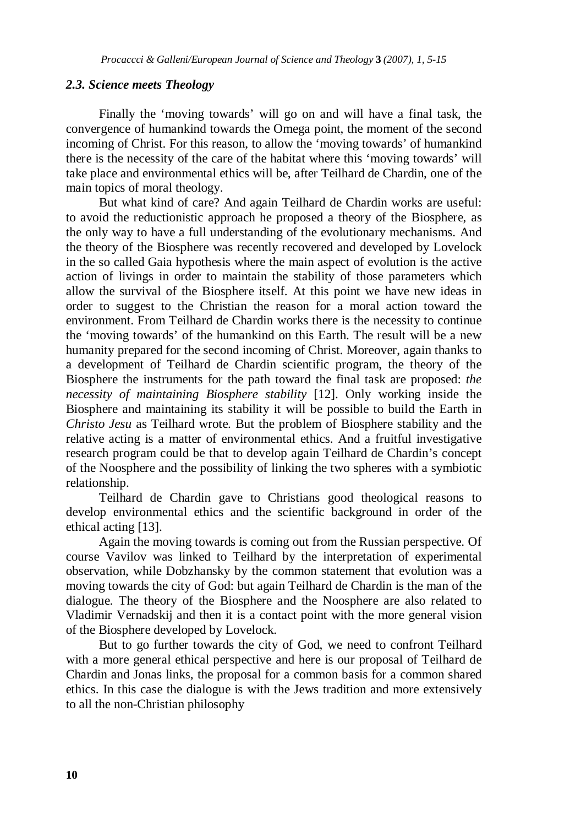## *2.3. Science meets Theology*

Finally the 'moving towards' will go on and will have a final task, the convergence of humankind towards the Omega point, the moment of the second incoming of Christ. For this reason, to allow the 'moving towards' of humankind there is the necessity of the care of the habitat where this 'moving towards' will take place and environmental ethics will be, after Teilhard de Chardin, one of the main topics of moral theology.

But what kind of care? And again Teilhard de Chardin works are useful: to avoid the reductionistic approach he proposed a theory of the Biosphere, as the only way to have a full understanding of the evolutionary mechanisms. And the theory of the Biosphere was recently recovered and developed by Lovelock in the so called Gaia hypothesis where the main aspect of evolution is the active action of livings in order to maintain the stability of those parameters which allow the survival of the Biosphere itself. At this point we have new ideas in order to suggest to the Christian the reason for a moral action toward the environment. From Teilhard de Chardin works there is the necessity to continue the 'moving towards' of the humankind on this Earth. The result will be a new humanity prepared for the second incoming of Christ. Moreover, again thanks to a development of Teilhard de Chardin scientific program, the theory of the Biosphere the instruments for the path toward the final task are proposed: *the necessity of maintaining Biosphere stability* [12]. Only working inside the Biosphere and maintaining its stability it will be possible to build the Earth in *Christo Jesu* as Teilhard wrote. But the problem of Biosphere stability and the relative acting is a matter of environmental ethics. And a fruitful investigative research program could be that to develop again Teilhard de Chardin's concept of the Noosphere and the possibility of linking the two spheres with a symbiotic relationship.

Teilhard de Chardin gave to Christians good theological reasons to develop environmental ethics and the scientific background in order of the ethical acting [13].

Again the moving towards is coming out from the Russian perspective. Of course Vavilov was linked to Teilhard by the interpretation of experimental observation, while Dobzhansky by the common statement that evolution was a moving towards the city of God: but again Teilhard de Chardin is the man of the dialogue. The theory of the Biosphere and the Noosphere are also related to Vladimir Vernadskij and then it is a contact point with the more general vision of the Biosphere developed by Lovelock.

But to go further towards the city of God, we need to confront Teilhard with a more general ethical perspective and here is our proposal of Teilhard de Chardin and Jonas links, the proposal for a common basis for a common shared ethics. In this case the dialogue is with the Jews tradition and more extensively to all the non-Christian philosophy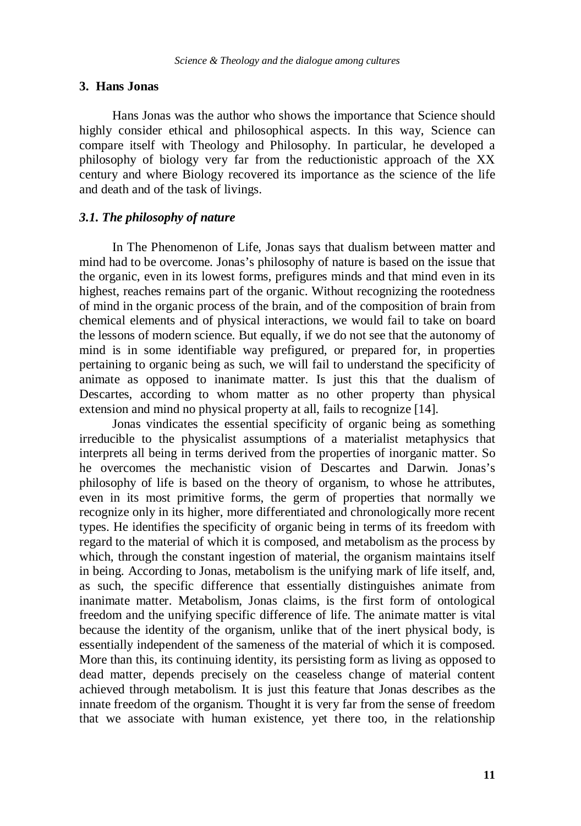#### **3. Hans Jonas**

Hans Jonas was the author who shows the importance that Science should highly consider ethical and philosophical aspects. In this way, Science can compare itself with Theology and Philosophy. In particular, he developed a philosophy of biology very far from the reductionistic approach of the XX century and where Biology recovered its importance as the science of the life and death and of the task of livings.

# *3.1. The philosophy of nature*

In The Phenomenon of Life, Jonas says that dualism between matter and mind had to be overcome. Jonas's philosophy of nature is based on the issue that the organic, even in its lowest forms, prefigures minds and that mind even in its highest, reaches remains part of the organic. Without recognizing the rootedness of mind in the organic process of the brain, and of the composition of brain from chemical elements and of physical interactions, we would fail to take on board the lessons of modern science. But equally, if we do not see that the autonomy of mind is in some identifiable way prefigured, or prepared for, in properties pertaining to organic being as such, we will fail to understand the specificity of animate as opposed to inanimate matter. Is just this that the dualism of Descartes, according to whom matter as no other property than physical extension and mind no physical property at all, fails to recognize [14].

Jonas vindicates the essential specificity of organic being as something irreducible to the physicalist assumptions of a materialist metaphysics that interprets all being in terms derived from the properties of inorganic matter. So he overcomes the mechanistic vision of Descartes and Darwin. Jonas's philosophy of life is based on the theory of organism, to whose he attributes, even in its most primitive forms, the germ of properties that normally we recognize only in its higher, more differentiated and chronologically more recent types. He identifies the specificity of organic being in terms of its freedom with regard to the material of which it is composed, and metabolism as the process by which, through the constant ingestion of material, the organism maintains itself in being. According to Jonas, metabolism is the unifying mark of life itself, and, as such, the specific difference that essentially distinguishes animate from inanimate matter. Metabolism, Jonas claims, is the first form of ontological freedom and the unifying specific difference of life. The animate matter is vital because the identity of the organism, unlike that of the inert physical body, is essentially independent of the sameness of the material of which it is composed. More than this, its continuing identity, its persisting form as living as opposed to dead matter, depends precisely on the ceaseless change of material content achieved through metabolism. It is just this feature that Jonas describes as the innate freedom of the organism. Thought it is very far from the sense of freedom that we associate with human existence, yet there too, in the relationship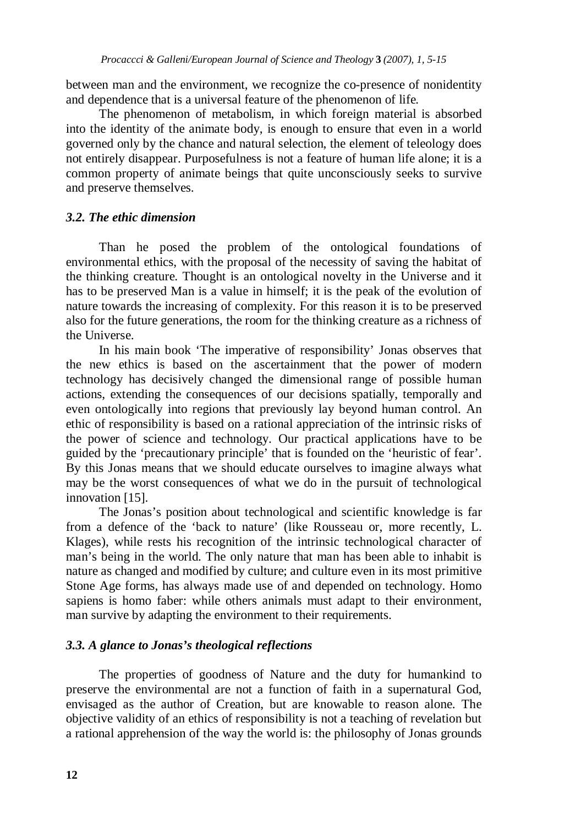between man and the environment, we recognize the co-presence of nonidentity and dependence that is a universal feature of the phenomenon of life*.* 

The phenomenon of metabolism, in which foreign material is absorbed into the identity of the animate body, is enough to ensure that even in a world governed only by the chance and natural selection, the element of teleology does not entirely disappear. Purposefulness is not a feature of human life alone; it is a common property of animate beings that quite unconsciously seeks to survive and preserve themselves.

# *3.2. The ethic dimension*

Than he posed the problem of the ontological foundations of environmental ethics, with the proposal of the necessity of saving the habitat of the thinking creature. Thought is an ontological novelty in the Universe and it has to be preserved Man is a value in himself; it is the peak of the evolution of nature towards the increasing of complexity. For this reason it is to be preserved also for the future generations, the room for the thinking creature as a richness of the Universe.

In his main book 'The imperative of responsibility' Jonas observes that the new ethics is based on the ascertainment that the power of modern technology has decisively changed the dimensional range of possible human actions, extending the consequences of our decisions spatially, temporally and even ontologically into regions that previously lay beyond human control. An ethic of responsibility is based on a rational appreciation of the intrinsic risks of the power of science and technology. Our practical applications have to be guided by the 'precautionary principle' that is founded on the 'heuristic of fear'. By this Jonas means that we should educate ourselves to imagine always what may be the worst consequences of what we do in the pursuit of technological innovation [15].

The Jonas's position about technological and scientific knowledge is far from a defence of the 'back to nature' (like Rousseau or, more recently, L. Klages), while rests his recognition of the intrinsic technological character of man's being in the world. The only nature that man has been able to inhabit is nature as changed and modified by culture; and culture even in its most primitive Stone Age forms, has always made use of and depended on technology. Homo sapiens is homo faber: while others animals must adapt to their environment, man survive by adapting the environment to their requirements.

# *3.3. A glance to Jonas's theological reflections*

The properties of goodness of Nature and the duty for humankind to preserve the environmental are not a function of faith in a supernatural God, envisaged as the author of Creation, but are knowable to reason alone. The objective validity of an ethics of responsibility is not a teaching of revelation but a rational apprehension of the way the world is: the philosophy of Jonas grounds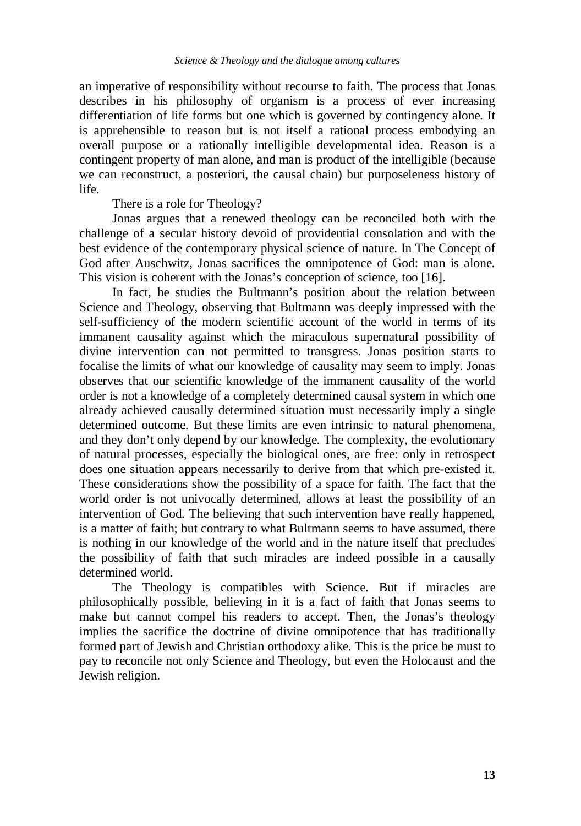an imperative of responsibility without recourse to faith. The process that Jonas describes in his philosophy of organism is a process of ever increasing differentiation of life forms but one which is governed by contingency alone. It is apprehensible to reason but is not itself a rational process embodying an overall purpose or a rationally intelligible developmental idea. Reason is a contingent property of man alone, and man is product of the intelligible (because we can reconstruct, a posteriori, the causal chain) but purposeleness history of life.

There is a role for Theology?

Jonas argues that a renewed theology can be reconciled both with the challenge of a secular history devoid of providential consolation and with the best evidence of the contemporary physical science of nature. In The Concept of God after Auschwitz, Jonas sacrifices the omnipotence of God: man is alone. This vision is coherent with the Jonas's conception of science, too [16].

In fact, he studies the Bultmann's position about the relation between Science and Theology, observing that Bultmann was deeply impressed with the self-sufficiency of the modern scientific account of the world in terms of its immanent causality against which the miraculous supernatural possibility of divine intervention can not permitted to transgress. Jonas position starts to focalise the limits of what our knowledge of causality may seem to imply. Jonas observes that our scientific knowledge of the immanent causality of the world order is not a knowledge of a completely determined causal system in which one already achieved causally determined situation must necessarily imply a single determined outcome. But these limits are even intrinsic to natural phenomena, and they don't only depend by our knowledge. The complexity, the evolutionary of natural processes, especially the biological ones, are free: only in retrospect does one situation appears necessarily to derive from that which pre-existed it. These considerations show the possibility of a space for faith. The fact that the world order is not univocally determined, allows at least the possibility of an intervention of God. The believing that such intervention have really happened, is a matter of faith; but contrary to what Bultmann seems to have assumed, there is nothing in our knowledge of the world and in the nature itself that precludes the possibility of faith that such miracles are indeed possible in a causally determined world.

The Theology is compatibles with Science. But if miracles are philosophically possible, believing in it is a fact of faith that Jonas seems to make but cannot compel his readers to accept. Then, the Jonas's theology implies the sacrifice the doctrine of divine omnipotence that has traditionally formed part of Jewish and Christian orthodoxy alike. This is the price he must to pay to reconcile not only Science and Theology, but even the Holocaust and the Jewish religion.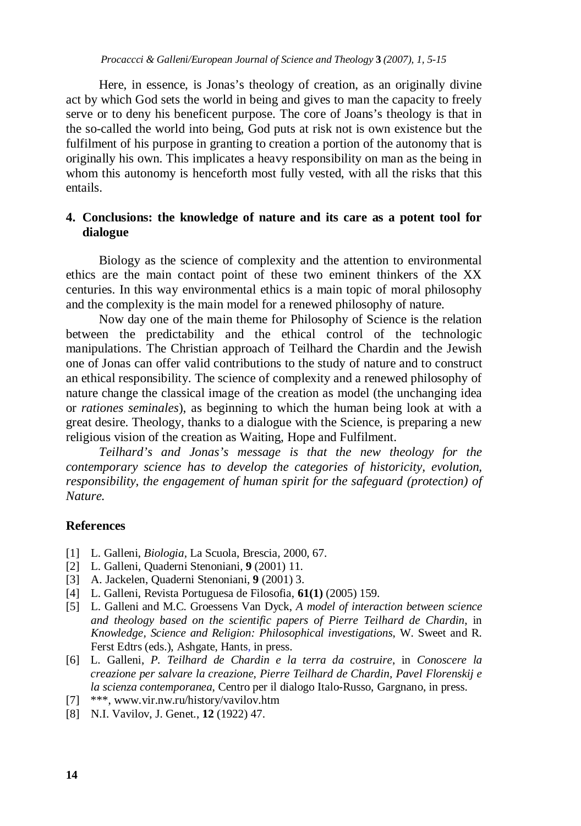Here, in essence, is Jonas's theology of creation, as an originally divine act by which God sets the world in being and gives to man the capacity to freely serve or to deny his beneficent purpose. The core of Joans's theology is that in the so-called the world into being, God puts at risk not is own existence but the fulfilment of his purpose in granting to creation a portion of the autonomy that is originally his own. This implicates a heavy responsibility on man as the being in whom this autonomy is henceforth most fully vested, with all the risks that this entails.

# **4. Conclusions: the knowledge of nature and its care as a potent tool for dialogue**

Biology as the science of complexity and the attention to environmental ethics are the main contact point of these two eminent thinkers of the XX centuries. In this way environmental ethics is a main topic of moral philosophy and the complexity is the main model for a renewed philosophy of nature.

Now day one of the main theme for Philosophy of Science is the relation between the predictability and the ethical control of the technologic manipulations. The Christian approach of Teilhard the Chardin and the Jewish one of Jonas can offer valid contributions to the study of nature and to construct an ethical responsibility. The science of complexity and a renewed philosophy of nature change the classical image of the creation as model (the unchanging idea or *rationes seminales*), as beginning to which the human being look at with a great desire. Theology, thanks to a dialogue with the Science, is preparing a new religious vision of the creation as Waiting, Hope and Fulfilment.

*Teilhard's and Jonas's message is that the new theology for the contemporary science has to develop the categories of historicity, evolution, responsibility, the engagement of human spirit for the safeguard (protection) of Nature.*

# **References**

- [1] L. Galleni, *Biologia,* La Scuola, Brescia*,* 2000, 67.
- [2] L. Galleni, Quaderni Stenoniani, **9** (2001) 11.
- [3] A. Jackelen, Quaderni Stenoniani, **9** (2001) 3.
- [4] L. Galleni, Revista Portuguesa de Filosofia, **61(1)** (2005) 159.
- [5] L. Galleni and M.C. Groessens Van Dyck, *A model of interaction between science and theology based on the scientific papers of Pierre Teilhard de Chardin*, in *Knowledge, Science and Religion: Philosophical investigations*, W. Sweet and R. Ferst Edtrs (eds.), Ashgate, Hants, in press.
- [6] L. Galleni, *P. Teilhard de Chardin e la terra da costruire*, in *Conoscere la creazione per salvare la creazione, Pierre Teilhard de Chardin, Pavel Florenskij e la scienza contemporanea*, Centro per il dialogo Italo-Russo, Gargnano, in press.
- [7] \*\*\*, www.vir.nw.ru/history/vavilov.htm
- [8] N.I. Vavilov, J. Genet., **12** (1922) 47.